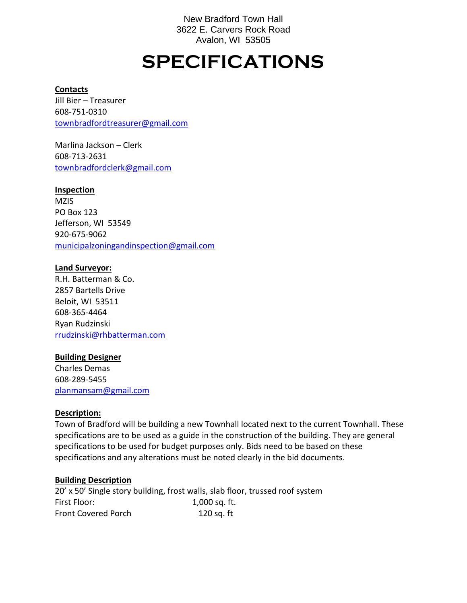New Bradford Town Hall 3622 E. Carvers Rock Road Avalon, WI 53505

# **SPECIFICATIONS**

#### **Contacts**

Jill Bier – Treasurer 608-751-0310 [townbradfordtreasurer@gmail.com](mailto:townbradfordtreasurer@gmail.com)

Marlina Jackson – Clerk 608-713-2631 [townbradfordclerk@gmail.com](mailto:townbradfordclerk@gmail.com)

#### **Inspection**

**MZIS** PO Box 123 Jefferson, WI 53549 920-675-9062 [municipalzoningandinspection@gmail.com](mailto:municipalzoningandinspection@gmail.com)

#### **Land Surveyor:**

R.H. Batterman & Co. 2857 Bartells Drive Beloit, WI 53511 608-365-4464 Ryan Rudzinski [rrudzinski@rhbatterman.com](mailto:rrudzinski@rhbatterman.com)

#### **Building Designer**

Charles Demas 608-289-5455 [planmansam@gmail.com](mailto:planmansam@gmail.com)

#### **Description:**

Town of Bradford will be building a new Townhall located next to the current Townhall. These specifications are to be used as a guide in the construction of the building. They are general specifications to be used for budget purposes only. Bids need to be based on these specifications and any alterations must be noted clearly in the bid documents.

#### **Building Description**

20' x 50' Single story building, frost walls, slab floor, trussed roof system First Floor: 1,000 sq. ft. Front Covered Porch 120 sq. ft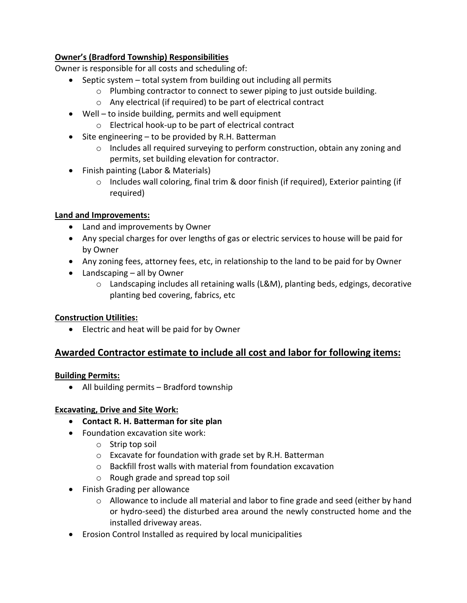# **Owner's (Bradford Township) Responsibilities**

Owner is responsible for all costs and scheduling of:

- Septic system total system from building out including all permits
	- $\circ$  Plumbing contractor to connect to sewer piping to just outside building.
	- o Any electrical (if required) to be part of electrical contract
- Well to inside building, permits and well equipment
	- o Electrical hook-up to be part of electrical contract
- Site engineering to be provided by R.H. Batterman
	- $\circ$  Includes all required surveying to perform construction, obtain any zoning and permits, set building elevation for contractor.
- Finish painting (Labor & Materials)
	- $\circ$  Includes wall coloring, final trim & door finish (if required), Exterior painting (if required)

## **Land and Improvements:**

- Land and improvements by Owner
- Any special charges for over lengths of gas or electric services to house will be paid for by Owner
- Any zoning fees, attorney fees, etc, in relationship to the land to be paid for by Owner
- Landscaping all by Owner
	- o Landscaping includes all retaining walls (L&M), planting beds, edgings, decorative planting bed covering, fabrics, etc

# **Construction Utilities:**

• Electric and heat will be paid for by Owner

# **Awarded Contractor estimate to include all cost and labor for following items:**

## **Building Permits:**

• All building permits – Bradford township

## **Excavating, Drive and Site Work:**

- **Contact R. H. Batterman for site plan**
- Foundation excavation site work:
	- o Strip top soil
	- o Excavate for foundation with grade set by R.H. Batterman
	- o Backfill frost walls with material from foundation excavation
	- o Rough grade and spread top soil
- Finish Grading per allowance
	- $\circ$  Allowance to include all material and labor to fine grade and seed (either by hand or hydro-seed) the disturbed area around the newly constructed home and the installed driveway areas.
- Erosion Control Installed as required by local municipalities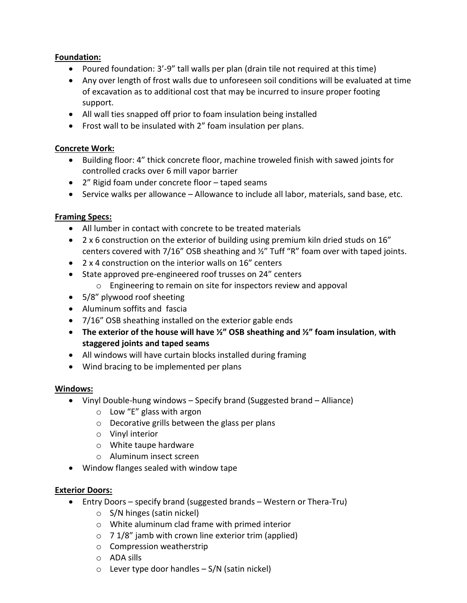# **Foundation:**

- Poured foundation: 3'-9" tall walls per plan (drain tile not required at this time)
- Any over length of frost walls due to unforeseen soil conditions will be evaluated at time of excavation as to additional cost that may be incurred to insure proper footing support.
- All wall ties snapped off prior to foam insulation being installed
- Frost wall to be insulated with 2" foam insulation per plans.

# **Concrete Work:**

- Building floor: 4" thick concrete floor, machine troweled finish with sawed joints for controlled cracks over 6 mill vapor barrier
- 2" Rigid foam under concrete floor taped seams
- Service walks per allowance Allowance to include all labor, materials, sand base, etc.

# **Framing Specs:**

- All lumber in contact with concrete to be treated materials
- 2 x 6 construction on the exterior of building using premium kiln dried studs on 16" centers covered with 7/16" OSB sheathing and ½" Tuff "R" foam over with taped joints.
- 2 x 4 construction on the interior walls on 16" centers
- State approved pre-engineered roof trusses on 24" centers
	- o Engineering to remain on site for inspectors review and appoval
- 5/8" plywood roof sheeting
- Aluminum soffits and fascia
- 7/16" OSB sheathing installed on the exterior gable ends
- **The exterior of the house will have ½" OSB sheathing and ½" foam insulation**, **with staggered joints and taped seams**
- All windows will have curtain blocks installed during framing
- Wind bracing to be implemented per plans

# **Windows:**

- Vinyl Double-hung windows Specify brand (Suggested brand Alliance)
	- o Low "E" glass with argon
	- o Decorative grills between the glass per plans
	- o Vinyl interior
	- o White taupe hardware
	- o Aluminum insect screen
- Window flanges sealed with window tape

# **Exterior Doors:**

- Entry Doors specify brand (suggested brands Western or Thera-Tru)
	- o S/N hinges (satin nickel)
	- o White aluminum clad frame with primed interior
	- $\circ$  7 1/8" jamb with crown line exterior trim (applied)
	- o Compression weatherstrip
	- o ADA sills
	- $\circ$  Lever type door handles S/N (satin nickel)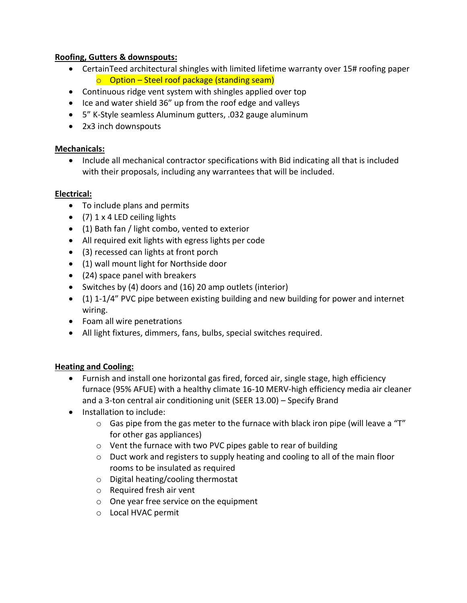## **Roofing, Gutters & downspouts:**

- CertainTeed architectural shingles with limited lifetime warranty over 15# roofing paper  $\circ$  Option – Steel roof package (standing seam)
- Continuous ridge vent system with shingles applied over top
- Ice and water shield 36" up from the roof edge and valleys
- 5" K-Style seamless Aluminum gutters, .032 gauge aluminum
- 2x3 inch downspouts

## **Mechanicals:**

• Include all mechanical contractor specifications with Bid indicating all that is included with their proposals, including any warrantees that will be included.

## **Electrical:**

- To include plans and permits
- (7) 1 x 4 LED ceiling lights
- (1) Bath fan / light combo, vented to exterior
- All required exit lights with egress lights per code
- (3) recessed can lights at front porch
- (1) wall mount light for Northside door
- (24) space panel with breakers
- Switches by (4) doors and (16) 20 amp outlets (interior)
- (1) 1-1/4" PVC pipe between existing building and new building for power and internet wiring.
- Foam all wire penetrations
- All light fixtures, dimmers, fans, bulbs, special switches required.

# **Heating and Cooling:**

- Furnish and install one horizontal gas fired, forced air, single stage, high efficiency furnace (95% AFUE) with a healthy climate 16-10 MERV-high efficiency media air cleaner and a 3-ton central air conditioning unit (SEER 13.00) – Specify Brand
- Installation to include:
	- $\circ$  Gas pipe from the gas meter to the furnace with black iron pipe (will leave a "T" for other gas appliances)
	- o Vent the furnace with two PVC pipes gable to rear of building
	- o Duct work and registers to supply heating and cooling to all of the main floor rooms to be insulated as required
	- o Digital heating/cooling thermostat
	- o Required fresh air vent
	- o One year free service on the equipment
	- o Local HVAC permit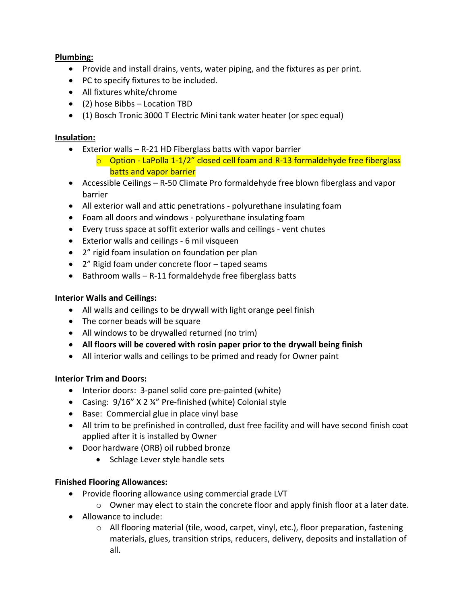# **Plumbing:**

- Provide and install drains, vents, water piping, and the fixtures as per print.
- PC to specify fixtures to be included.
- All fixtures white/chrome
- (2) hose Bibbs Location TBD
- (1) Bosch Tronic 3000 T Electric Mini tank water heater (or spec equal)

## **Insulation:**

- Exterior walls R-21 HD Fiberglass batts with vapor barrier
	- $\circ$  Option LaPolla 1-1/2" closed cell foam and R-13 formaldehyde free fiberglass batts and vapor barrier
- Accessible Ceilings R-50 Climate Pro formaldehyde free blown fiberglass and vapor barrier
- All exterior wall and attic penetrations polyurethane insulating foam
- Foam all doors and windows polyurethane insulating foam
- Every truss space at soffit exterior walls and ceilings vent chutes
- Exterior walls and ceilings 6 mil visqueen
- 2" rigid foam insulation on foundation per plan
- 2" Rigid foam under concrete floor taped seams
- Bathroom walls R-11 formaldehyde free fiberglass batts

## **Interior Walls and Ceilings:**

- All walls and ceilings to be drywall with light orange peel finish
- The corner beads will be square
- All windows to be drywalled returned (no trim)
- **All floors will be covered with rosin paper prior to the drywall being finish**
- All interior walls and ceilings to be primed and ready for Owner paint

# **Interior Trim and Doors:**

- Interior doors: 3-panel solid core pre-painted (white)
- Casing: 9/16" X 2 ¼" Pre-finished (white) Colonial style
- Base: Commercial glue in place vinyl base
- All trim to be prefinished in controlled, dust free facility and will have second finish coat applied after it is installed by Owner
- Door hardware (ORB) oil rubbed bronze
	- Schlage Lever style handle sets

# **Finished Flooring Allowances:**

- Provide flooring allowance using commercial grade LVT
	- o Owner may elect to stain the concrete floor and apply finish floor at a later date.
- Allowance to include:
	- o All flooring material (tile, wood, carpet, vinyl, etc.), floor preparation, fastening materials, glues, transition strips, reducers, delivery, deposits and installation of all.